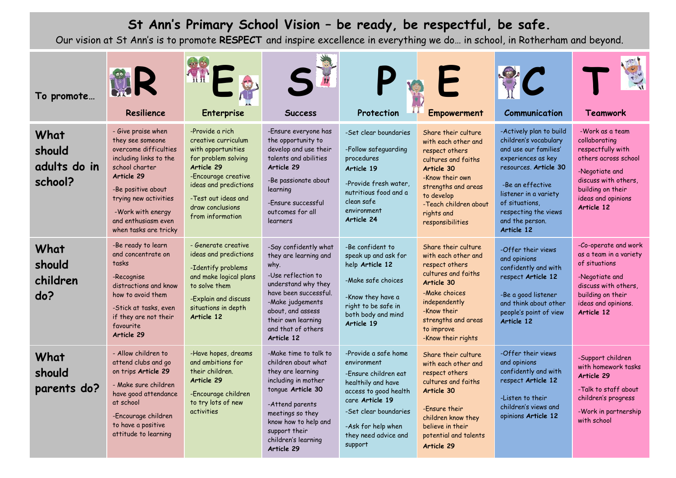## **St Ann's Primary School Vision – be ready, be respectful, be safe.**

Our vision at St Ann's is to promote **RESPECT** and inspire excellence in everything we do… in school, in Rotherham and beyond.

| To promote                                | Resilience                                                                                                                                                                                                                                    | h ii<br><b>Enterprise</b>                                                                                                                                                                                        | <b>Success</b>                                                                                                                                                                                                                     | Protection                                                                                                                                                                                                      | <b>Empowerment</b>                                                                                                                                                                                                   | Communication                                                                                                                                                                                                                                    | Teamwork                                                                                                                                                                         |
|-------------------------------------------|-----------------------------------------------------------------------------------------------------------------------------------------------------------------------------------------------------------------------------------------------|------------------------------------------------------------------------------------------------------------------------------------------------------------------------------------------------------------------|------------------------------------------------------------------------------------------------------------------------------------------------------------------------------------------------------------------------------------|-----------------------------------------------------------------------------------------------------------------------------------------------------------------------------------------------------------------|----------------------------------------------------------------------------------------------------------------------------------------------------------------------------------------------------------------------|--------------------------------------------------------------------------------------------------------------------------------------------------------------------------------------------------------------------------------------------------|----------------------------------------------------------------------------------------------------------------------------------------------------------------------------------|
| What<br>should<br>adults do in<br>school? | - Give praise when<br>they see someone<br>overcome difficulties<br>including links to the<br>school charter<br>Article 29<br>-Be positive about<br>trying new activities<br>-Work with energy<br>and enthusiasm even<br>when tasks are tricky | -Provide a rich<br>creative curriculum<br>with opportunities<br>for problem solving<br>Article 29<br>-Encourage creative<br>ideas and predictions<br>-Test out ideas and<br>draw conclusions<br>from information | -Ensure everyone has<br>the opportunity to<br>develop and use their<br>talents and abilities<br>Article 29<br>-Be passionate about<br>learning<br>-Fnsure successful<br>outcomes for all<br>learners                               | -Set clear boundaries<br>-Follow safeguarding<br>procedures<br>Article 19<br>-Provide fresh water.<br>nutritious food and a<br>clean safe<br>environment<br>Article 24                                          | Share their culture<br>with each other and<br>respect others<br>cultures and faiths<br>Article 30<br>-Know their own<br>strengths and areas<br>to develop<br>-Teach children about<br>rights and<br>responsibilities | -Actively plan to build<br>children's vocabulary<br>and use our families'<br>experiences as key<br>resources. Article 30<br>-Be an effective<br>listener in a variety<br>of situations,<br>respecting the views<br>and the person.<br>Article 12 | -Work as a team<br>collaborating<br>respectfully with<br>others across school<br>-Negotiate and<br>discuss with others.<br>building on their<br>ideas and opinions<br>Article 12 |
| What<br>should<br>children<br>do?         | -Be ready to learn<br>and concentrate on<br>tasks<br>-Recognise<br>distractions and know<br>how to avoid them<br>-Stick at tasks, even<br>if they are not their<br>favourite<br>Article 29                                                    | - Generate creative<br>ideas and predictions<br>-Identify problems<br>and make logical plans<br>to solve them<br>-Explain and discuss<br>situations in depth<br>Article 12                                       | -Say confidently what<br>they are learning and<br>why.<br>-Use reflection to<br>understand why they<br>have been successful.<br>-Make judgements<br>about, and assess<br>their own learning<br>and that of others<br>Article 12    | -Be confident to<br>speak up and ask for<br>help Article 12<br>-Make safe choices<br>-Know they have a<br>right to be safe in<br>both body and mind<br>Article 19                                               | Share their culture<br>with each other and<br>respect others<br>cultures and faiths<br>Article 30<br>-Make choices<br>independently<br>-Know their<br>strengths and areas<br>to improve<br>-Know their rights        | -Offer their views<br>and opinions<br>confidently and with<br>respect Article 12<br>-Be a good listener<br>and think about other<br>people's point of view<br>Article 12                                                                         | -Co-operate and work<br>as a team in a variety<br>of situations<br>-Negotiate and<br>discuss with others.<br>building on their<br>ideas and opinions.<br>Article 12              |
| What<br>should<br>parents do?             | - Allow children to<br>attend clubs and go<br>on trips Article 29<br>- Make sure children<br>have good attendance<br>at school<br>-Encourage children<br>to have a positive<br>attitude to learning                                           | -Have hopes, dreams<br>and ambitions for<br>their children.<br>Article 29<br>-Encourage children<br>to try lots of new<br>activities                                                                             | -Make time to talk to<br>children about what<br>they are learning<br>including in mother<br>tonque Article 30<br>-Attend parents<br>meetings so they<br>know how to help and<br>support their<br>children's learning<br>Article 29 | -Provide a safe home<br>environment<br>-Ensure children eat<br>healthily and have<br>access to good health<br>care Article 19<br>-Set clear boundaries<br>-Ask for help when<br>they need advice and<br>support | Share their culture<br>with each other and<br>respect others<br>cultures and faiths<br>Article 30<br>-Fnsure their<br>children know they<br>believe in their<br>potential and talents<br>Article 29                  | -Offer their views<br>and opinions<br>confidently and with<br>respect Article 12<br>-Listen to their<br>children's views and<br>opinions Article 12                                                                                              | -Support children<br>with homework tasks<br>Article 29<br>-Talk to staff about<br>children's progress<br>-Work in partnership<br>with school                                     |